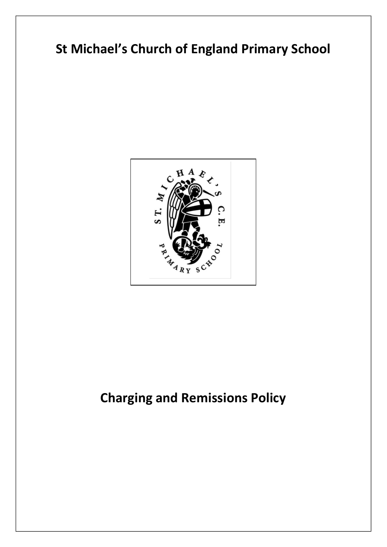## **St Michael's Church of England Primary School**



## **Charging and Remissions Policy**